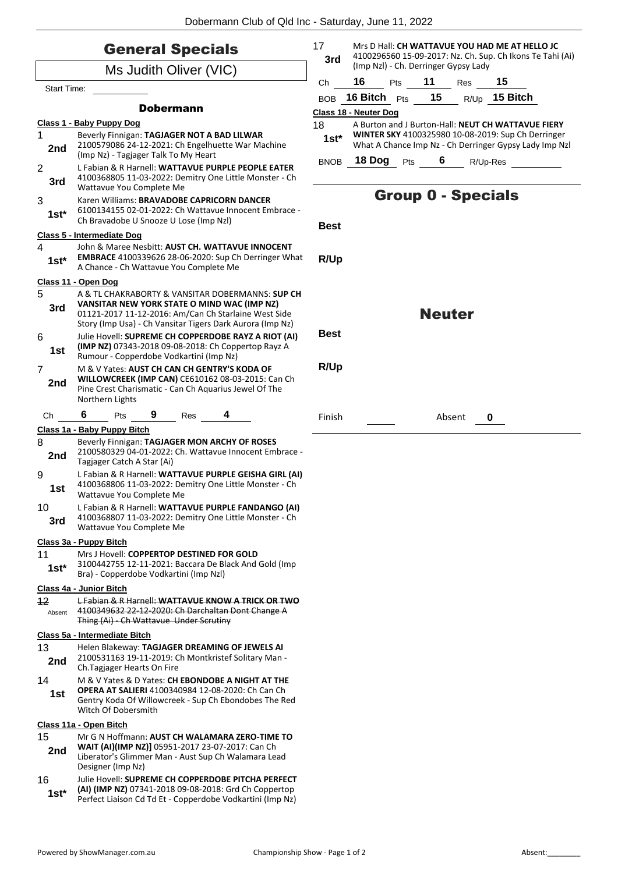| <b>General Specials</b>  |                                                                                                                                                                                                                                                                              |             | Mrs D Hall: CH WATTAVUE YOU HAD ME AT HELLO JC<br>4100296560 15-09-2017: Nz. Ch. Sup. Ch Ikons Te Tahi (Ai)<br>(Imp Nzl) - Ch. Derringer Gypsy Lady |     |               |                                                                                                                                        |                           |  |
|--------------------------|------------------------------------------------------------------------------------------------------------------------------------------------------------------------------------------------------------------------------------------------------------------------------|-------------|-----------------------------------------------------------------------------------------------------------------------------------------------------|-----|---------------|----------------------------------------------------------------------------------------------------------------------------------------|---------------------------|--|
| Ms Judith Oliver (VIC)   |                                                                                                                                                                                                                                                                              |             |                                                                                                                                                     |     |               |                                                                                                                                        |                           |  |
| <b>Start Time:</b>       |                                                                                                                                                                                                                                                                              | Ch          | 16                                                                                                                                                  | Pts | 11            | <b>Res</b>                                                                                                                             | 15                        |  |
|                          | <b>Dobermann</b>                                                                                                                                                                                                                                                             | <b>BOB</b>  | <b>16 Bitch</b> $P$ ts                                                                                                                              |     | 15            |                                                                                                                                        | R/Up 15 Bitch             |  |
| Class 1 - Baby Puppy Dog |                                                                                                                                                                                                                                                                              |             | Class 18 - Neuter Dog<br>18<br>A Burton and J Burton-Hall: NEUT CH WATTAVUE FIERY                                                                   |     |               |                                                                                                                                        |                           |  |
| 1<br>2nd                 | Beverly Finnigan: TAGJAGER NOT A BAD LILWAR<br>2100579086 24-12-2021: Ch Engelhuette War Machine<br>(Imp Nz) - Tagjager Talk To My Heart                                                                                                                                     | $1st*$      | BNOB 18 Dog Pts                                                                                                                                     |     |               | <b>WINTER SKY 4100325980 10-08-2019: Sup Ch Derringer</b><br>What A Chance Imp Nz - Ch Derringer Gypsy Lady Imp Nzl<br>6 —<br>R/Up-Res |                           |  |
| $\overline{2}$<br>3rd    | L Fabian & R Harnell: WATTAVUE PURPLE PEOPLE EATER<br>4100368805 11-03-2022: Demitry One Little Monster - Ch<br>Wattavue You Complete Me                                                                                                                                     |             |                                                                                                                                                     |     |               |                                                                                                                                        |                           |  |
| 3<br>$1st*$              | Karen Williams: BRAVADOBE CAPRICORN DANCER<br>6100134155 02-01-2022: Ch Wattavue Innocent Embrace -<br>Ch Bravadobe U Snooze U Lose (Imp Nzl)                                                                                                                                | <b>Best</b> |                                                                                                                                                     |     |               |                                                                                                                                        | <b>Group 0 - Specials</b> |  |
|                          | Class 5 - Intermediate Dog                                                                                                                                                                                                                                                   |             |                                                                                                                                                     |     |               |                                                                                                                                        |                           |  |
| 4<br>$1st^*$             | John & Maree Nesbitt: AUST CH. WATTAVUE INNOCENT<br><b>EMBRACE</b> 4100339626 28-06-2020: Sup Ch Derringer What<br>A Chance - Ch Wattavue You Complete Me                                                                                                                    | R/Up        |                                                                                                                                                     |     |               |                                                                                                                                        |                           |  |
|                          | Class 11 - Open Dog                                                                                                                                                                                                                                                          |             |                                                                                                                                                     |     |               |                                                                                                                                        |                           |  |
| 5<br>3rd<br>6            | A & TL CHAKRABORTY & VANSITAR DOBERMANNS: SUP CH<br>VANSITAR NEW YORK STATE O MIND WAC (IMP NZ)<br>01121-2017 11-12-2016: Am/Can Ch Starlaine West Side<br>Story (Imp Usa) - Ch Vansitar Tigers Dark Aurora (Imp Nz)<br>Julie Hovell: SUPREME CH COPPERDOBE RAYZ A RIOT (AI) | <b>Best</b> |                                                                                                                                                     |     | <b>Neuter</b> |                                                                                                                                        |                           |  |
| 1st                      | (IMP NZ) 07343-2018 09-08-2018: Ch Coppertop Rayz A<br>Rumour - Copperdobe Vodkartini (Imp Nz)                                                                                                                                                                               |             |                                                                                                                                                     |     |               |                                                                                                                                        |                           |  |
| $\overline{7}$<br>2nd    | M & V Yates: AUST CH CAN CH GENTRY'S KODA OF<br>WILLOWCREEK (IMP CAN) CE610162 08-03-2015: Can Ch<br>Pine Crest Charismatic - Can Ch Aquarius Jewel Of The<br>Northern Lights                                                                                                | R/Up        |                                                                                                                                                     |     |               |                                                                                                                                        |                           |  |
| Ch                       | 6<br>9<br>Res<br>Pts                                                                                                                                                                                                                                                         | Finish      |                                                                                                                                                     |     |               | Absent                                                                                                                                 | 0                         |  |
|                          | Class 1a - Baby Puppy Bitch                                                                                                                                                                                                                                                  |             |                                                                                                                                                     |     |               |                                                                                                                                        |                           |  |
| 8<br>2nd                 | Beverly Finnigan: TAGJAGER MON ARCHY OF ROSES<br>2100580329 04-01-2022: Ch. Wattavue Innocent Embrace -<br>Tagjager Catch A Star (Ai)                                                                                                                                        |             |                                                                                                                                                     |     |               |                                                                                                                                        |                           |  |
| 9<br>1st                 | L Fabian & R Harnell: WATTAVUE PURPLE GEISHA GIRL (AI)<br>4100368806 11-03-2022: Demitry One Little Monster - Ch<br>Wattavue You Complete Me                                                                                                                                 |             |                                                                                                                                                     |     |               |                                                                                                                                        |                           |  |
| 10<br>3rd                | L Fabian & R Harnell: WATTAVUE PURPLE FANDANGO (AI)<br>4100368807 11-03-2022: Demitry One Little Monster - Ch<br>Wattavue You Complete Me                                                                                                                                    |             |                                                                                                                                                     |     |               |                                                                                                                                        |                           |  |
| Class 3a - Puppy Bitch   |                                                                                                                                                                                                                                                                              |             |                                                                                                                                                     |     |               |                                                                                                                                        |                           |  |
| 11<br>$1st*$             | Mrs J Hovell: COPPERTOP DESTINED FOR GOLD<br>3100442755 12-11-2021: Baccara De Black And Gold (Imp<br>Bra) - Copperdobe Vodkartini (Imp Nzl)                                                                                                                                 |             |                                                                                                                                                     |     |               |                                                                                                                                        |                           |  |
| Class 4a - Junior Bitch  |                                                                                                                                                                                                                                                                              |             |                                                                                                                                                     |     |               |                                                                                                                                        |                           |  |
| 12<br>Absent             | L Fabian & R Harnell: WATTAVUE KNOW A TRICK OR TWO<br>4100349632 22-12-2020: Ch Darchaltan Dont Change A<br>Thing (Ai) - Ch Wattavue Under Scrutiny                                                                                                                          |             |                                                                                                                                                     |     |               |                                                                                                                                        |                           |  |
|                          | Class 5a - Intermediate Bitch                                                                                                                                                                                                                                                |             |                                                                                                                                                     |     |               |                                                                                                                                        |                           |  |
| 13<br>2nd                | Helen Blakeway: TAGJAGER DREAMING OF JEWELS AI<br>2100531163 19-11-2019: Ch Montkristef Solitary Man -<br>Ch.Tagjager Hearts On Fire                                                                                                                                         |             |                                                                                                                                                     |     |               |                                                                                                                                        |                           |  |
| 14<br>1st                | M & V Yates & D Yates: CH EBONDOBE A NIGHT AT THE<br><b>OPERA AT SALIERI 4100340984 12-08-2020: Ch Can Ch</b><br>Gentry Koda Of Willowcreek - Sup Ch Ebondobes The Red<br>Witch Of Dobersmith                                                                                |             |                                                                                                                                                     |     |               |                                                                                                                                        |                           |  |
|                          | Class 11a - Open Bitch                                                                                                                                                                                                                                                       |             |                                                                                                                                                     |     |               |                                                                                                                                        |                           |  |
| 15<br>2nd                | Mr G N Hoffmann: AUST CH WALAMARA ZERO-TIME TO<br>WAIT (AI)(IMP NZ)] 05951-2017 23-07-2017: Can Ch<br>Liberator's Glimmer Man - Aust Sup Ch Walamara Lead<br>Designer (Imp Nz)                                                                                               |             |                                                                                                                                                     |     |               |                                                                                                                                        |                           |  |
| 16<br>$1st*$             | Julie Hovell: SUPREME CH COPPERDOBE PITCHA PERFECT<br>(AI) (IMP NZ) 07341-2018 09-08-2018: Grd Ch Coppertop<br>Perfect Liaison Cd Td Et - Copperdobe Vodkartini (Imp Nz)                                                                                                     |             |                                                                                                                                                     |     |               |                                                                                                                                        |                           |  |